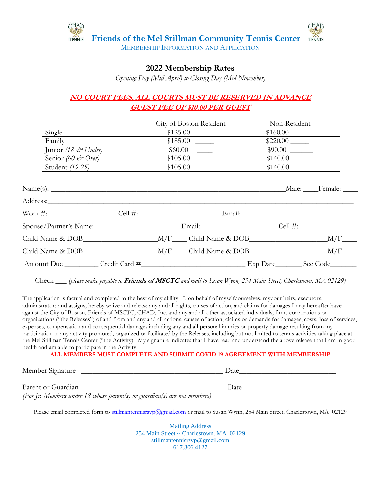

#### MEMBERSHIP INFORMATION AND APPLICATION

## **2022 Membership Rates**

*Opening Day (Mid-April) to Closing Day (Mid-November)*

### **NO COURT FEES, ALL COURTS MUST BE RESERVED IN ADVANCE GUEST FEE OF \$10.00 PER GUEST**

|                                 | City of Boston Resident | Non-Resident |
|---------------------------------|-------------------------|--------------|
| Single                          | \$125.00                | \$160.00     |
| Family                          | \$185.00                | \$220.00     |
| Junior (18 $\mathcal{C}$ Under) | \$60.00                 | \$90.00      |
| Senior (60 $\ll$ Over)          | \$105.00                | \$140.00     |
| Student (19-25)                 | \$105.00                | \$140.00     |

| Address: No. 1998 |  |                                               |  |
|-------------------|--|-----------------------------------------------|--|
|                   |  |                                               |  |
|                   |  |                                               |  |
|                   |  |                                               |  |
|                   |  | Child Name & DOB M/F Child Name & DOB M/F M/F |  |
|                   |  |                                               |  |

Check \_\_\_ *(please make payable to* **Friends of MSCTC** *and mail to Susan Wynn, 254 Main Street, Charlestown, MA 02129)*

The application is factual and completed to the best of my ability. I, on behalf of myself/ourselves, my/our heirs, executors, administrators and assigns, hereby waive and release any and all rights, causes of action, and claims for damages I may hereafter have against the City of Boston, Friends of MSCTC, CHAD, Inc. and any and all other associated individuals, firms corporations or organizations ("the Releases") of and from and any and all actions, causes of action, claims or demands for damages, costs, loss of services, expenses, compensation and consequential damages including any and all personal injuries or property damage resulting from my participation in any activity promoted, organized or facilitated by the Releases, including but not limited to tennis activities taking place at the Mel Stillman Tennis Center ("the Activity). My signature indicates that I have read and understand the above release that I am in good health and am able to participate in the Activity.

**ALL MEMBERS MUST COMPLETE AND SUBMIT COVID 19 AGREEMENT WITH MEMBERSHIP**

| Member Signature | Date |
|------------------|------|
|                  |      |

| Parent or Guardian |                                                                           | Date |  |
|--------------------|---------------------------------------------------------------------------|------|--|
|                    | (For Jr. Members under 18 whose parent(s) or guardian(s) are not members) |      |  |

Please email completed form to [stillmantennisrsvp@gmail.com](mailto:stillmantennisrsvp@gmail.com) or mail to Susan Wynn, 254 Main Street, Charlestown, MA 02129

Mailing Address 254 Main Street ~ Charlestown, MA 02129 [stillmantennisrsvp@gmail.com](mailto:stillmantennisrsvp@gmail.com) 617.306.4127